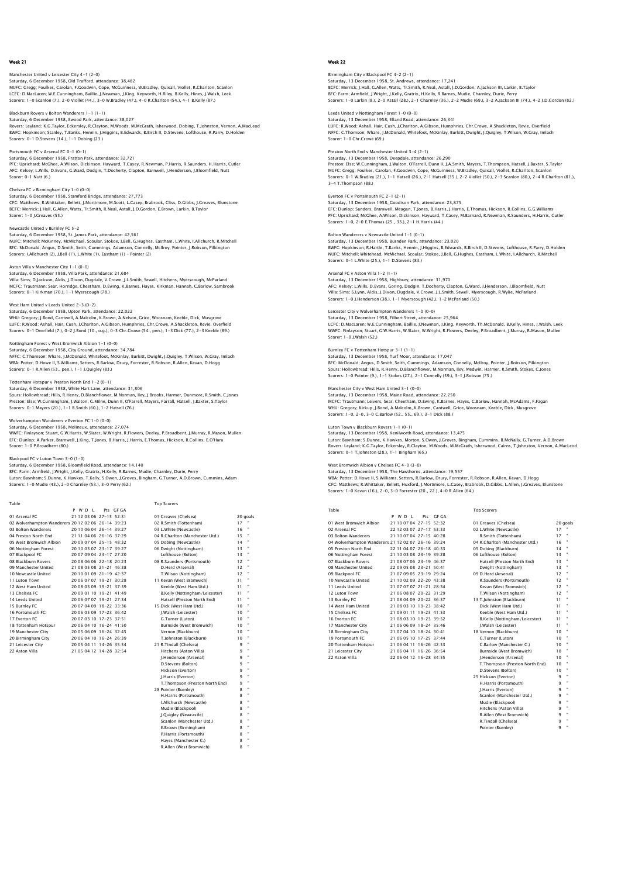# Manchester United v Leicester City 4-1 (2-0) Saturday, 6 December 1958, Old Trafford, attendance: 38,482<br>MUFC: Gregg; Foulkes, Carolan, F.Goodwin, Cope, MCGuinness, W.Bradley, Quixall, Viollet, R.Charlton, Scanlon<br>LCFC: D.MacLaren; W.E.Cunningham, Baillie, J.Newman, Scorers: 1-0 Scanlon (7.), 2-0 Viollet (44.), 3-0 W.Bradley (47.), 4-0 R.Charlton (54.), 4-1 B.Kelly (87.)

# Blackburn Rovers v Bolton Wanderers 1-1 (1-1)

Saturday, 6 December 1958, Ewood Park, attendance: 38,027 Rovers: Leyland; K.G.Taylor, Eckersley, R.Clayton, M.Woods, M.McGrath, Isherwood, Dobing, T.Johnston, Vernon, A.MacLeod BWFC: Hopkinson; Stanley, T.Banks, Hennin, J.Higgins, B.Edwards, B.Birch II, D.Stevens, Lofthouse, R.Parry, D.Holden Scorers: 0-1 D.Stevens (14.), 1-1 Dobing (23.)

## Portsmouth FC v Arsenal FC 0-1 (0-1)

Saturday, 6 December 1958, Fratton Park, attendance: 32,721 PFC: Uprichard; McGhee, A.Wilson, Dickinson, Hayward, T.Casey, R.Newman, P.Harris, R.Saunders, H.Harris, Cutler AFC: Kelsey; L.Wills, D.Evans, G.Ward, Dodgin, T.Docherty, Clapton, Barnwell, J.Henderson, J.Bloomfield, Nutt Scorer: 0-1 Nutt (6.)

# Chelsea FC v Birmingham City 1-0 (0-0)

Saturday, 6 December 1958, Stamford Bridge, attendance: 27,773 CFC: Matthews; R.Whittaker, Bellett, J.Mortimore, M.Scott, L.Casey, Brabrook, Cliss, D.Gibbs, J.Greaves, Blunstone BCFC: Merrick; J.Hall, G.Allen, Watts, Tr.Smith, R.Neal, Astall, J.D.Gordon, E.Brown, Larkin, B.Taylor Scorer: 1-0 J.Greaves (55.)

# Newcastle United v Burnley FC 5-2

Saturday, 6 December 1958, St. James Park, attendance: 42,561 NUFC: Mitchell; McKinney, McMichael, Scoular, Stokoe, J.Bell, G.Hughes, Eastham, L.White, I.Allchurch, R.Mitchell<br>BFC: McDonald; Angus, D.Smith, Seith, Cummings, Adamson, Connelly, McIIroy, Pointer, J.Robson, Pilkington<br>Sc

### Aston Villa v Manchester City 1-1 (0-0)

Saturday, 6 December 1958, Villa Park, attendance: 21,684 Villa: Sims; D.Jackson, Aldis, J.Dixon, Dugdale, V.Crowe, J.L.Smith, Sewell, Hitchens, Myerscough, McParland MCFC: Trautmann; Sear, Horridge, Cheetham, D.Ewing, K.Barnes, Hayes, Kirkman, Hannah, C.Barlow, Sambrook Scorers: 0-1 Kirkman (70.), 1-1 Myerscough (78.)

### West Ham United v Leeds United 2-3 (0-2)

Saturday, 6 December 1958, Upton Park, attendance: 22,022 WHU: Gregory; J.Bond, Cantwell, A.Malcolm, K.Brown, A.Nelson, Grice, Woosnam, Keeble, Dick, Musgrove LUFC: R.Wood; Ashall, Hair, Cush, J.Charlton, A.Gibson, Humphries, Chr.Crowe, A.Shackleton, Revie, Overfield Scorers: 0-1 Overfield (7.), 0-2 J.Bond (10., o.g.), 0-3 Chr.Crowe (54., pen.), 1-3 Dick (77.), 2-3 Keeble (89.)

### Nottingham Forest v West Bromwich Albion 1-1 (0-0)

Saturday, 6 December 1958, City Ground, attendance: 34,784 NFFC: C.Thomson; Whare, J.McDonald, Whitefoot, McKinlay, Burkitt, Dwight, J.Quigley, T.Wilson, W.Gray, Imlach<br>WBA: Potter; D.Howe II, S.Williams, Setters, R.Barlow, Drury, Forrester, R.Robson, R.Allen, Kevan, D.Hoqq Scorers: 0-1 R.Allen (53., pen.), 1-1 J.Quigley (83.)

# Tottenham Hotspur v Preston North End 1-2 (0-1)

Saturday, 6 December 1958, White Hart Lane, attendance: 31,806<br>Spurs: Hollowbread; Hills, R.Henry, D.Blanchflower, M.Norman, Iley, J.Brooks, Harmer, Dunmore, R.Smith, C.Jones<br>Preston: Else; W.Cunningham, J.Walton, C.Milne,

Wolverhampton Wanderers v Everton FC 1–0 (0–0)<br>Saturday, 6 December 1958, Molineux, attendance: 27,074<br>WWFC: Finlayson; Stuart, G.W.Harris, W.Slater, W.Wright, R.Flowers, Deeley, P.Broadbent, J.Murray, R.Mason, Mullen EFC: Dunlop; A.Parker, Bramwell, J.King, T.Jones, B.Harris, J.Harris, E.Thomas, Hickson, R.Collins, E.O'Hara Scorer: 1-0 P.Broadbent (80.)

Blackpool FC v Luton Town 3–0 (1–0)<br>Saturday, 6 December 1958, Bloomfield Road, attendance: 14,140<br>BFC: Farm; Armfield, J.Wight, J.Kelly, Gratrix, H.Kelly, R.Barnes, Mudie, Charnley, Durie, Perry<br>Luton: Baynham: S.Dunne, K Scorers: 1-0 Mudie (43.), 2-0 Charnley (53.), 3-0 Perry (62.)

| Table                                              |         |                         |           | <b>Top Scorers</b>              |                 |                |
|----------------------------------------------------|---------|-------------------------|-----------|---------------------------------|-----------------|----------------|
|                                                    | P W D I |                         | Pts GE GA |                                 |                 |                |
| 01 Arsenal FC                                      |         | 21 12 03 06 27-15 52:31 |           | 01 Greaves (Chelsea)            | 20 goals        |                |
| 02 Wolverhampton Wanderers 20 12 02 06 26-14 39:23 |         |                         |           | 02 R.Smith (Tottenham)          | 17              |                |
| 03 Bolton Wanderers                                |         | 20 10 06 04 26-14 39:27 |           | 03 L.White (Newcastle)          | 16              |                |
| 04 Preston North End                               |         | 21 11 04 06 26-16 37:29 |           | 04 R.Charlton (Manchester Utd.) | 15              |                |
| 05 West Bromwich Albion                            |         | 20 09 07 04 25-15 48:32 |           | 05 Dobing (Newcastle)           | 14              |                |
| 06 Nottingham Forest                               |         | 20 10 03 07 23-17 39:27 |           | 06 Dwight (Nottingham)          | 13              | ×              |
| 07 Blackpool FC                                    |         | 20 07 09 04 23-17 27:20 |           | Lofthouse (Bolton)              | 13              |                |
| 08 Blackburn Rovers                                |         | 20.08.06.06.22-18.20:23 |           | 08 R.Saunders (Portsmouth)      | 12              | ×              |
| 09 Manchester United                               |         | 21 08 05 08 21-21 46:38 |           | D.Herd (Arsenal)                | 12              |                |
| 10 Newcastle United                                |         | 20 10 01 09 21-19 42:37 |           | T.Wilson (Nottingham)           | 12              |                |
| 11 Luton Town                                      |         | 20 06 07 07 19-21 30:28 |           | 11 Kevan (West Bromwich)        | 11              |                |
| 12 West Ham United                                 |         | 20 08 03 09 19-21 37:39 |           | Keeble (West Ham Utd.)          | 11              |                |
| 13 Chelsea EC                                      |         | 20 09 01 10 19-21 41:49 |           | B.Kelly (Nottingham/Leicester)  | 11              |                |
| 14 Leeds United                                    |         | 20 06 07 07 19-21 27:34 |           | Hatsell (Preston North End)     | 11              |                |
| 15 Burnley FC                                      |         | 20 07 04 09 18-22 33:36 |           | 15 Dick (West Ham Utd.)         | 10              | ×              |
| 16 Portsmouth FC                                   |         | 20 06 05 09 17-23 36:42 |           | I.Walsh (Leicester)             | 10              |                |
| 17 Everton EC                                      |         | 20 07 03 10 17-23 37:51 |           | G.Turner (Luton)                | 10              | ×              |
| 18 Tottenham Hotspur                               |         | 20 06 04 10 16-24 41:50 |           | Burnside (West Bromwich)        | 10 <sup>°</sup> |                |
| 19 Manchester City                                 |         | 20 05 06 09 16-24 32:45 |           | Vernon (Blackburn)              | 10              |                |
| 20 Birmingham City                                 |         | 20 06 04 10 16-24 26:39 |           | T.lohnston (Blackburn)          | 10              |                |
| 21 Leicester City                                  |         | 20 05 04 11 14-26 35:54 |           | 21 R.Tindall (Chelsea)          | q               | $\blacksquare$ |
| 22 Aston Villa                                     |         | 21 05 04 12 14-28 32:54 |           | Hitchens (Aston Villa)          | 9               | $\blacksquare$ |
|                                                    |         |                         |           | I.Henderson (Arsenal)           | 9               | ٠              |
|                                                    |         |                         |           | D.Stevens (Bolton)              | 9               |                |
|                                                    |         |                         |           |                                 |                 |                |

| VI GICAVES (CIICISCA)           |    | cu yu |
|---------------------------------|----|-------|
| 02 R.Smith (Tottenham)          | 17 | ٠     |
| 03 L.White (Newcastle)          | 16 | ,     |
| 04 R.Charlton (Manchester Utd.) | 15 | ,     |
| 05 Dobing (Newcastle)           | 14 | ٠     |
| 06 Dwight (Nottingham)          | 13 | ,     |
| Lofthouse (Bolton)              | 13 | ,     |
| 08 R.Saunders (Portsmouth)      | 12 | ,     |
| D.Herd (Arsenal)                | 12 | ,     |
| T.Wilson (Nottingham)           | 12 | ٠     |
| 11 Kevan (West Bromwich)        | 11 | ,     |
| Keeble (West Ham Utd.)          | 11 | ,     |
| B.Kelly (Nottingham/Leicester)  | 11 | ,     |
| Hatsell (Preston North End)     | 11 | ,     |
| 15 Dick (West Ham Utd.)         | 10 | ٠     |
| J.Walsh (Leicester)             | 10 | ,     |
| G.Turner (Luton)                | 10 | ,     |
| Burnside (West Bromwich)        | 10 | ,     |
| Vernon (Blackburn)              | 10 | ,     |
| T.Johnston (Blackburn)          | 10 | ٠     |
| 21 R.Tindall (Chelsea)          | 9  | ,     |
| Hitchens (Aston Villa)          | ۹  | ,     |
| J.Henderson (Arsenal)           | 9  | ,     |
| D.Stevens (Bolton)              | ۹  | ,     |
| Hickson (Everton)               | 9  | ٠     |
| J.Harris (Everton)              | 9  | ,     |
| T.Thompson (Preston North End)  | ۹  | ,     |
| 28 Pointer (Burnley)            | 8  | ,     |
| H.Harris (Portsmouth)           | 8  | ,     |
| I.Allchurch (Newcastle)         | 8  | ,     |
| Mudie (Blackpool)               | 8  | ,     |
| I.Ouigley (Newcastle)           | 8  | ٠     |

 Scanlon (Manchester Utd.) 8 " E.Brown (Birmingham) 8 " P.Harris (Portsmouth) 8 " Hayes (Manchester C.) 8<br>R Allen (West Rromwich) 8 R.Allen (West Bromwich)

# Week 22

# Birmingham City v Blackpool FC 4-2 (2-1) Saturday, 13 December 1958, St. Andrews, attendance: 17,241<br>BCFC: Merrick: J.Hall, G.Allen, Watts, Tr.Smith, R.Neal, Astall, J.D.Gordon, A.Jackson III, Larkin, B.Tayloı<br>BFC: Farm; Armfield, J.Wright, J.Kelly, Gratrix, H.Ke Scorers: 1-0 Larkin (8.), 2-0 Astall (28.), 2-1 Charnley (36.), 2-2 Mudie (69.), 3-2 A.Jackson III (74.), 4-2 J.D.Gordon (82.)

Leeds United v Nottingham Forest 1-0 (0-0) Saturday, 13 December 1958, Elland Road, attendance: 26,341 LUFC: R.Wood; Ashall, Hair, Cush, J.Charlton, A.Gibson, Humphries, Chr.Crowe, A.Shackleton, Revie, Overfield NFFC: C.Thomson; Whare, J.McDonald, Whitefoot, McKinlay, Burkitt, Dwight, J.Quigley, T.Wilson, W.Gray, Imlach Scorer: 1-0 Chr.Crowe (69.)

# Preston North End v Manchester United 3-4 (2-1)

Saturday, 13 December 1958, Deepdale, attendance: 26,290 Preston: Else; W.Cunningham, J.Walton, O'Farrell, Dunn II, J.A.Smith, Mayers, T.Thompson, Hatsell, J.Baxter, S.Taylor MUFC: Gregg; Foulkes, Carolan, F.Goodwin, Cope, McGuinness, W.Bradley, Quixall, Viollet, R.Charlton, Scanlon<br>Scorers: 0–1 W.Bradley (21.), 1–1 Hatsell (26.), 2–1 Hatsell (35.), 2–2 Viollet (50.), 2–3 Scanlon (80.), 2–4 R.C Scorers. University<br>3-4 T.Thompson (88.)

### Everton FC v Portsmouth FC 2-1 (2-1) Saturday, 13 December 1958, Goodison Park, attendance: 23,875

EFC: Dunlop; Sanders, Bramwell, Meagan, T.Jones, B.Harris, J.Harris, E.Thomas, Hickson, R.Collins, G.G.Williams PFC: Uprichard; McGhee, A.Wilson, Dickinson, Hayward, T.Casey, M.Barnard, R.Newman, R.Saunders, H.Harris, Cutler Scorers: 1-0, 2-0 E.Thomas (25., 33.), 2-1 H.Harris (44.)

# Bolton Wanderers v Newcastle United 1-1 (0-1)

Saturday, 13 December 1958, Burnden Park, attendance: 23,020<br>BWFC: Hopkinson; R.Hartle, T.Banks, Hennin, J.Higgins, B.Edwards, B.Birch II, D.Stevens, Lofthouse, R.Parry, D.Holder<br>NUFC: Mitchell; Whitehead, McMichael, Scoul Scorers: 0-1 L.White (25.), 1-1 D.Stevens (83.)

### Arsenal FC v Aston Villa 1-2 (1-1)

Saturday, 13 December 1958, Highbury, attendance: 31,970 AFC: Kelsey; L.Wills, D.Evans, Goring, Dodgin, T.Docherty, Clapton, G.Ward, J.Henderson, J.Bloomfield, Nut<br>Villa: Sims; S.Lynn, Aldis, J.Dixon, Dugdale, V.Crowe, J.L.Smith, Sewell, Myerscough, R.Wylie, McParland<br>Scorers: 1

### Leicester City v Wolverhampton Wanderers 1-0 (0-0)

Saturday, 13 December 1958, Filbert Street, attendance: 25,964<br>LCFC: D.MacLaren, W.E.Cunningham, Baillie, J.Newman, J.King, Keyworth, Th.McDonald, B.Kelly, Hines, J.Walsh, Leek<br>WWFC: Finlayson; Stuart, G.W.Harris, W.Slater

## Burnley FC v Tottenham Hotspur 3-1 (1-1)

Saturday, 13 December 1958, Turf Moor, attendance: 17,047<br>BFC: McDonald; Angus, D.Smith, Seith, Cummings, Adamson, Connelly, McIlroy, Pointer, J.Robson, Pilkington<br>Spurs: Hollowbread; Hills, R.Henry, D.Blanchflower, M.Norm

Manchester City v West Ham United 3–1 (0–0)<br>Saturday, 13 December 1958, Maine Road, attendance: 22,250<br>MCFC: Trautmann; Leivers, Sear, Cheetham, D.Ewing, K.Barnes, Hayes, C.Barlow, Hannah, McAdams, F.Fagar<br>WHU: Gregory: Ki Scorers: 1-0, 2-0, 3-0 C.Barlow (52., 55., 69.), 3-1 Dick (88.)

# Luton Town v Blackburn Rovers 1-1 (0-1)

Saturday, 13 December 1958, Kenilworth Road, attendance: 13,475 Luton: Baynham; S.Dunne, K.Hawkes, Morton, S.Owen, J.Groves, Bingham, Cummins, B.McNally, G.Turner, A.D.Brown<br>Rovers: Leyland; K.G.Taylor, Eckersley, R.Clayton, M.Woods, M.McGrath, Isherwood, Cairns, T.Johnston, Vernon, A. Scorers: 0-1 T.Johnston (28.), 1-1 Bingham (65.)

### West Bromwich Albion v Chelsea FC 4-0 (3-0)

Saturday, 13 December 1958, The Hawthorns, attendance: 19,557 WBA: Potter; D.Howe II, S.Williams, Setters, R.Barlow, Drury, Forrester, R.Robson, R.Allen, Kevan, D.Hogg CFC: Matthews; R.Whittaker, Bellett, Huxford, J.Mortimore, L.Casey, Brabrook, D.Gibbs, L.Allen, J.Greaves, Blunstone Scorers: 1-0 Kevan (16.), 2-0, 3-0 Forrester (20., 22.), 4-0 R.Allen (64.)

| Table                                              |  |         |                           |       | <b>Top Scorers</b> |                                 |    |          |
|----------------------------------------------------|--|---------|---------------------------|-------|--------------------|---------------------------------|----|----------|
|                                                    |  | P W D I | Pts                       | GE GA |                    |                                 |    |          |
| 01 West Bromwich Albion                            |  |         | 21 10 07 04 27-15 52:32   |       |                    | 01 Greaves (Chelsea)            |    | 20 goals |
| 02 Arsenal FC                                      |  |         | 22 12 03 07 27-17 53:33   |       |                    | 02 L.White (Newcastle)          | 17 |          |
| 03 Bolton Wanderers                                |  |         | 21 10 07 04 27-15 40:28   |       |                    | R.Smith (Tottenham)             | 17 |          |
| 04 Wolverhampton Wanderers 21 12 02 07 26-16 39:24 |  |         |                           |       |                    | 04 R.Charlton (Manchester Utd.) | 16 |          |
| 05 Preston North End                               |  |         | 22 11 04 07 26-18 40:33   |       |                    | 05 Dobing (Blackburn)           | 14 |          |
| 06 Nottingham Forest                               |  |         | 21 10 03 08 23-19 39:28   |       |                    | 06 Lofthouse (Bolton)           | 13 |          |
| 07 Blackburn Rovers                                |  |         | 21 08 07 06 23-19 46:37   |       |                    | Hatsell (Preston North End)     | 13 | ٠        |
| 08 Manchester United                               |  |         | 22 09 05 08 23-21 50:41   |       |                    | Dwight (Nottingham)             | 13 |          |
| 09 Blackpool FC                                    |  |         | 21 07 09 05 23-19 29:24   |       |                    | 09 D.Herd (Arsenal)             | 12 |          |
| 10 Newcastle United                                |  |         | 21 10 02 09 22-20 43:38   |       |                    | R.Saunders (Portsmouth)         | 12 |          |
| 11 Leeds United                                    |  |         | 21 07 07 07 21 - 21 28:34 |       |                    | Kevan (West Bromwich)           | 12 |          |
| 12 Luton Town                                      |  |         | 21 06 08 07 20-22 31:29   |       |                    | T.Wilson (Nottingham)           | 12 |          |
| 13 Burnley FC                                      |  |         | 21 08 04 09 20-22 36:37   |       |                    | 13 T.Johnston (Blackburn)       | 11 |          |
| 14 West Ham United                                 |  |         | 21 08 03 10 19-23 38:42   |       |                    | Dick (West Ham Utd.)            | 11 |          |
| 15 Chelsea FC                                      |  |         | 21 09 01 11 19-23 41:53   |       |                    | Keeble (West Ham Utd.)          | 11 |          |
| 16 Everton EC                                      |  |         | 21 08 03 10 19-23 39:52   |       |                    | B.Kelly (Nottingham/Leicester)  | 11 |          |
| 17 Manchester City                                 |  |         | 21 06 06 09 18-24 35:46   |       |                    | J.Walsh (Leicester)             | 11 |          |
| 18 Birmingham City                                 |  |         | 21 07 04 10 18-24 30:41   |       |                    | 18 Vernon (Blackburn)           | 10 |          |
| 19 Portsmouth EC                                   |  |         | 21 06 05 10 17-25 37:44   |       |                    | G.Turner (Luton)                | 10 |          |
| 20 Tottenham Hotspur                               |  |         | 21 06 04 11 16-26 42:53   |       |                    | C.Barlow (Manchester C.)        | 10 |          |
| 21 Leicester City                                  |  |         | 21 06 04 11 16-26 36:54   |       |                    | Burnside (West Bromwich)        | 10 |          |
| 22 Aston Villa                                     |  |         | 22 06 04 12 16-28 34:55   |       |                    | LHenderson (Arsenal)            | 10 |          |

# 03 Bolton Wanders 21 10 21 21 21 21 21 22 23:33<br>
03 Bolton Wanders 21 28 27:38<br>
20 28 R.Smith (Tottenham) 17 1<br>
20:28 Bolton Manchester Utd.) 16 0.20<br>
04 R.Charlton (Manchester Utd.)<br>
05 Dobing (Rlackhurn) 9 Pa Charlton (Manchester Utd.)<br>
16 Pobling (Blackburn) 13<br>
16 Dobing (Blackburn) 13<br>
16:37 Hatsell (Preston North End) 13<br>
150:41 Dwight (Nottingham) 13 08 Manchester United 29:24 Dwight (Nottingham) 13<br>12 09 D.Herd (Arsenal) 12 29:24 09 D.Herd (Arsenal)<br>43:38 R Saunders (Ports 13.38 R.Saunders (Portsmouth) 12<br>12 12 12 12 Newan (West Bromwich) 12<br>13:29 T.Wilson (Nottingham) 12<br>13 T.Johnston (Blackburn) 11 14 14 14 Dick (West Ham Utd.) 11<br>14 1:53 Keeble (West Ham Utd.) 11 11:53 Keeble (West Ham Utd.)<br>20:52 B Kelly (Nottingham Lei

| G.Turner (Luton)               | 10 | ٠ |
|--------------------------------|----|---|
| C.Barlow (Manchester C.)       | 10 | ٠ |
| Burnside (West Bromwich)       | 10 | ٠ |
| <b>I.Henderson (Arsenal)</b>   | 10 | ٠ |
| T.Thompson (Preston North End) | 10 |   |
| D.Stevens (Bolton)             | 10 | ٠ |
| 25 Hickson (Everton)           | ۹  | ٠ |
| H.Harris (Portsmouth)          | ۹  | ٠ |
| I.Harris (Everton)             | ۹  | ٠ |
| Scanlon (Manchester Utd.)      | ۹  | ٠ |
| Mudie (Blackpool)              | ۹  | ٠ |
| Hitchens (Aston Villa)         | ۹  | ٠ |
| R.Allen (West Bromwich)        | ۹  | ٠ |
| R.Tindall (Chelsea)            | ۹  | ٠ |
|                                |    |   |

### Pointer (Burnley) 9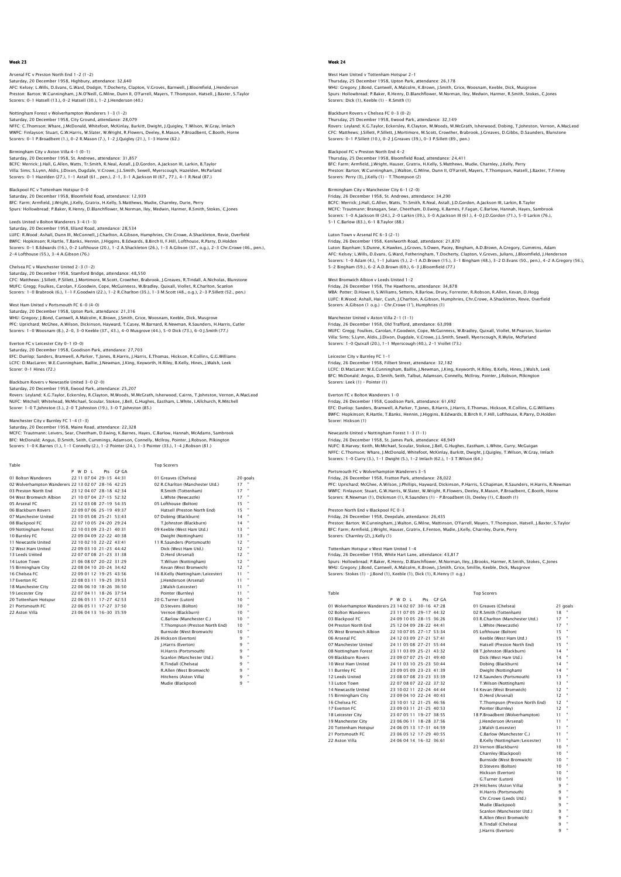## Arsenal FC v Preston North End 1-2 (1-2)

Saturday, 20 December 1958, Highbury, attendance: 32,640<br>AFC: Kelsey: L.Wills, D.Evans, G.Ward, Dodgin, T.Docherty, Clapton, V.Groves, Barnwell, J.Bloomfield, J.Henderson<br>Preston: Barton: W.Cunningham, J.N.O'Neill, G.Milne Scorers: 0-1 Hatsell (13.), 0-2 Hatsell (30.), 1-2 J.Henderson (40.)

Nottingham Forest v Wolverhampton Wanderers 1-3 (1-2)

Saturday, 20 December 1958, City Ground, attendance: 28,079 NFFC: C.Thomson; Whare, J.McDonald, Whitefoot, McKinlay, Burkitt, Dwight, J.Quigley, T.Wilson, W.Gray, Imlach WWFC: Finlayson; Stuart, G.W.Harris, W.Slater, W.Wright, R.Flowers, Deeley, R.Mason, P.Broadbent, C.Booth, Horne Scorers: 0-1 P.Broadbent (1.), 0-2 R.Mason (7.), 1-2 J.Quigley (21.), 1-3 Horne (62.)

# Birmingham City v Aston Villa 4-1 (0-1)

Saturday, 20 December 1958, St. Andrews, attendance: 31,857 BCFC: Merrick; J.Hall, G.Allen, Watts, Tr.Smith, R.Neal, Astall, J.D.Gordon, A.Jackson III, Larkin, B.Taylor<br>Villa: Sims; S.Lynn, Aldis, J.Dixon, Dugdale, V.Crowe, J.L.Smith, Sewell, Myerscough, Hazelden, McParland<br>Scorers

# Blackpool FC v Tottenham Hotspur 0-0

Saturday, 20 December 1958, Bloomfield Road, attendance: 12,939 BFC: Farm; Armfield, J.Wright, J.Kelly, Gratrix, H.Kelly, S.Matthews, Mudie, Charnley, Durie, Perry Spurs: Hollowbread; P.Baker, R.Henry, D.Blanchflower, M.Norman, Iley, Medwin, Harmer, R.Smith, Stokes, C.Jones

# Leeds United v Bolton Wanderers 3-4 (1-3)

Saturday, 20 December 1958, Elland Road, attendance: 28,534 LUFC: R.Wood; Ashall, Dunn III, McConnell, J.Charlton, A.Gibson, Humphries, Chr.Crowe, A.Shackleton, Revie, Overfield BWFC: Hopkinson; R.Hartle, T.Banks, Hennin, J.Higgins, B.Edwards, B.Birch II, F.Hill, Lofthouse, R.Parry, D.Holden<br>Scorers: 0–1 B.Edwards (16.), 0–2 Lofthouse (20.), 1–2 A.Shackleton (26.), 1–3 A.Gibson (37., o.g.), 2–3 Ch 2-4 Lofthouse (55.), 3-4 A.Gibson (76.)

## Chelsea FC v Manchester United 2-3 (1-2)

Saturday, 20 December 1958, Stamford Bridge, attendance: 48,550 CFC: Matthews; J.Sillett, P.Sillett, J.Mortimore, M.Scott, Crowther, Brabrook, J.Greaves, R.Tindall, A.Nicholas, Blunstone MUFC: Gregg; Foulkes, Carolan, F.Goodwin, Cope, McGuinness, W.Bradley, Quixall, Viollet, R.Charlton, Scanlon<br>Scorers: 1–0 Brabrook (6.), 1–1 F.Goodwin (22.), 1–2 R.Charlton (35.), 1–3 M.Scott (48., o.g.), 2–3 P.Sillett (52

### West Ham United v Portsmouth FC 6-0 (4-0)

Saturday, 20 December 1958, Upton Park, attendance: 21,316 WHU: Gregory; J.Bond, Cantwell, A.Malcolm, K.Brown, J.Smith, Grice, Woosnam, Keeble, Dick, Musgrove PFC: Uprichard; McGhee, A.Wilson, Dickinson, Hayward, T.Casey, M.Barnard, R.Newman, R.Saunders, H.Harris, Cutler Scorers: 1-0 Woosnam (8.), 2-0, 3-0 Keeble (37., 43.), 4-0 Musgrove (44.), 5-0 Dick (73.), 6-0 J.Smith (77.)

### Everton FC v Leicester City 0-1 (0-0)

Saturday, 20 December 1958, Goodison Park, attendance: 27,703 EFC: Dunlop; Sanders, Bramwell, A.Parker, T.Jones, B.Harris, J.Harris, E.Thomas, Hickson, R.Collins, G.G.Williams LCFC: D.MacLaren; W.E.Cunningham, Baillie, J.Newman, J.King, Keyworth, H.Riley, B.Kelly, Hines, J.Walsh, Leek Scorer: 0-1 Hines (72.)

## Blackburn Rovers v Newcastle United 3-0 (2-0)

Saturday, 20 December 1958, Ewood Park, attendance: 25,207<br>Rovers: Leyland; K.G.Taylor, Eckersley, R.Clayton, M.Woods, M.McGrath, Isherwood, Cairns, T.Johnston, Vernon, A.MacLeod<br>NUFC: Mitchell; Whitehead, McMichael, Scoul Scorer: 1-0 T.Johnston (3.), 2-0 T.Johnston (19.), 3-0 T.Johnston (85.)

Manchester City v Burnley FC 1–4 (1–3)<br>Saturday, 20 December 1958, Maine Road, attendance: 22,328<br>MCFC: Trautmann; Leivers, Sear, Cheetham, D.Ewing, K.Barnes, Hayes, C.Barlow, Hannah, McAdams, Sambrook<br>BFC: McDonald; Angus

Table Top Scorers P W D L Pts GF GA

|                                                    |  | WD L | Pts                     | GF GA |                                   |        |          |
|----------------------------------------------------|--|------|-------------------------|-------|-----------------------------------|--------|----------|
| 01 Bolton Wanderers                                |  |      | 22 11 07 04 29-15 44 31 |       | 01 Greaves (Chelsea)              |        | 20 goals |
| 02 Wolverhampton Wanderers 22 13 02 07 28-16 42:25 |  |      |                         |       | 02 R.Charlton (Manchester Utd.)   | $17 -$ |          |
| 03 Preston North End                               |  |      | 23 12 04 07 28-18 42:34 |       | R.Smith (Tottenham)               | 17     |          |
| 04 West Bromwich Albion                            |  |      | 21 10 07 04 27-15 52:32 |       | L.White (Newcastle)               | 17     |          |
| 05 Arsenal FC                                      |  |      | 23 12 03 08 27-19 54:35 |       | 05 Lofthouse (Bolton)             | 15     | Ħ        |
| 06 Blackburn Rovers                                |  |      | 22 09 07 06 25-19 49:37 |       | Hatsell (Preston North End)       | 15     |          |
| 07 Manchester United                               |  |      | 23 10 05 08 25-21 53:43 |       | 07 Dobing (Blackburn)             | 14     |          |
| 08 Blackpool FC                                    |  |      | 22 07 10 05 24-20 29:24 |       | T.Johnston (Blackburn)            | 14     |          |
| 09 Nottingham Forest                               |  |      | 22 10 03 09 23-21 40:31 |       | 09 Keeble (West Ham Utd.)         | 13     |          |
| 10 Burnley FC                                      |  |      | 22 09 04 09 22-22 40:38 |       | Dwight (Nottingham)               | 13     |          |
| 11 Newcastle United                                |  |      | 22 10 02 10 22-22 43:41 |       | 11 R.Saunders (Portsmouth)        | 12     |          |
| 12 West Ham United                                 |  |      | 22 09 03 10 21-23 44:42 |       | Dick (West Ham Utd.)              | 12     |          |
| 13 Leeds United                                    |  |      | 22 07 07 08 21-23 31:38 |       | D.Herd (Arsenal)                  | 12     |          |
| 14 Luton Town                                      |  |      | 21 06 08 07 20-22 31:29 |       | T.Wilson (Nottingham)             | 12     |          |
| 15 Birmingham City                                 |  |      | 22 08 04 10 20-24 34:42 |       | Kevan (West Bromwich)             | 12     |          |
| 16 Chelsea EC                                      |  |      | 22 09 01 12 19-25 43:56 |       | 16 B.Kelly (Nottingham/Leicester) | 11     |          |
| 17 Everton EC                                      |  |      | 22 08 03 11 19-25 39:53 |       | I.Henderson (Arsenal)             | 11     |          |
| 18 Manchester City                                 |  |      | 22 06 06 10 18-26 36:50 |       | I.Walsh (Leicester)               | 11     |          |
| 19 Leicester City                                  |  |      | 22 07 04 11 18-26 37:54 |       | Pointer (Burnley)                 | 11     |          |
| 20 Tottenham Hotspur                               |  |      | 22 06 05 11 17-27 42:53 |       | 20 G.Turner (Luton)               | 10     |          |
| 21 Portsmouth FC                                   |  |      | 22 06 05 11 17-27 37:50 |       | D.Stevens (Bolton)                | 10     |          |
| 22 Aston Villa                                     |  |      | 23 06 04 13 16-30 35:59 |       | Vernon (Blackburn)                | 10     |          |
|                                                    |  |      |                         |       | C.Barlow (Manchester C.)          | 10     |          |
|                                                    |  |      |                         |       | T.Thompson (Preston North End)    | 10     |          |
|                                                    |  |      |                         |       | Burnside (West Bromwich)          | 10     |          |
|                                                    |  |      |                         |       | 26 Hickson (Everton)              | 9      |          |
|                                                    |  |      |                         |       | I.Harris (Everton)                | 9      |          |
|                                                    |  |      |                         |       | H.Harris (Portsmouth)             | 9      |          |
|                                                    |  |      |                         |       | Scanlon (Manchester Utd.)         | 9      |          |
|                                                    |  |      |                         |       | R.Tindall (Chelsea)               | q      |          |
|                                                    |  |      |                         |       | R.Allen (West Bromwich)           | 9      |          |

**Hitchens (Aston Villa)** Mudie (Blackp

# Week 24

West Ham United v Tottenham Hotspur 2-1 Thursday, 25 December 1958, Upton Park, attendance: 26,178<br>WHU: Gregory, J.Bond, Cantwell, A.Malcolm, K.Brown, J.Smith, Grice, Woosnam, Keeble, Dick, Musgrove<br>Spurs: Hollowbread: P.Baker, R.Henry, D.Blanchflower, M.Norman, Scorers: Dick (1), Keeble (1) – R.Smith (1)

Blackburn Rovers v Chelsea FC 0-3 (0-2)

Thursday, 25 December 1958, Ewood Park, attendance: 32,149 Rovers: Leyland; K.G.Taylor, Eckersley, R.Clayton, M.Woods, M.McGrath, Isherwood, Dobing, T.Johnston, Vernon, A.MacLeod CFC: Matthews; J.Sillett, P.Sillett, J.Mortimore, M.Scott, Crowther, Brabrook, J.Greaves, D.Gibbs, D.Saunders, Blunstone Scorers: 0-1 P.Sillett (10.), 0-2 J.Greaves (39.), 0-3 P.Sillett (89., pen.)

## Blackpool FC v Preston North End 4-2

Thursday, 25 December 1958, Bloomfield Road, attendance: 24,411 BFC: Farm; Armfield, J.Wright, Hauser, Gratrix, H.Kelly, S.Matthews, Mudie, Charnley, J.Kelly, Perry Preston: Barton; W.Cunningham, J.Walton, G.Milne, Dunn II, O'Farrell, Mayers, T.Thompson, Hatsell, J.Baxter, T.Finney Scorers: Perry (3), J.Kelly (1) – T.Thompson (2)

# Birmingham City v Manchester City 6-1 (2-0)

Friday, 26 December 1958, St. Andrews, attendance: 34,290 BCFC: Merrick; J.Hall, G.Allen, Watts, Tr.Smith, R.Neal, Astall, J.D.Gordon, A.Jackson III, Larkin, B.Taylor MCFC: Trautmann; Branagan, Sear, Cheetham, D.Ewing, K.Barnes, F.Fagan, C.Barlow, Hannah, Hayes, Sambrook Scorers: 1-0 A.Jackson III (24.), 2-0 Larkin (39.), 3-0 A.Jackson III (61.), 4-0 J.D.Gordon (71.), 5-0 Larkin (76.), 5-1 C.Barlow (83.), 6-1 B.Taylor (88.)

### Luton Town v Arsenal FC 6-3 (2-1) Friday, 26 December 1958, Kenilworth Road, attendance: 21,870

Luton: Baynham; S.Dunne, K.Hawkes, J.Groves, S.Owen, Pacey, Bingham, A.D.Brown, A.Gregory, Cummins, Adam<br>AFC: Kelsey; L.Wills, D.Evans, G.Ward, Fotheringham, T.Docherty, Clapton, V.Groves, Julians, J.Bloomfield, J.Henderso

### West Bromwich Albion v Leeds United 1-2

Friday, 26 December 1958, The Hawthorns, attendance: 34,878<br>WBA: Potter; D.Howe II, S.Williams, Setters, R.Barlow, Drury, Forrester, R.Robson, R.Allen, Kevan, D.Hogg<br>LUFC: R.Wood; Ashall, Hair, Cush, J.Charlton, A.Gibson, Scorers: A.Gibson (1 o.g.) – Chr.Crowe (1'), Humphries (1)

Manchester United v Aston Villa 2–1 (1–1)<br>Friday, 26 December 1958, Old Trafford, attendance: 63,098<br>MUFC: Gregg; Foulkes, Carolan, F.Goodwin, Cope, McGuinness, W.Bradley, Quixall, Viollet, M.Pearson, Scanlor<br>Villa: Sims: Scorers: 1-0 Quixall (20.), 1-1 Myerscough (40.), 2-1 Viollet (73.)

Leicester City v Burnley FC 1-1 Friday, 26 December 1958, Filbert Street, attendance: 32,182 LCFC: D.MacLaren; W.E.Cunningham, Baillie, J.Newman, J.King, Keyworth, H.Riley, B.Kelly, Hines, J.Walsh, Leek BFC: McDonald; Angus, D.Smith, Seith, Talbut, Adamson, Connelly, McIlroy, Pointer, J.Robson, Pilkington Scorers: Leek (1) – Pointer (1)

### erers 1-0

Friday, 26 December 1958, Goodison Park, attendance: 61,692 EFC: Dunlop; Sanders, Bramwell, A.Parker, T.Jones, B.Harris, J.Harris, E.Thomas, Hickson, R.Collins, G.G.Williams BWFC: Hopkinson; R.Hartle, T.Banks, Hennin, J.Higgins, B.Edwards, B.Birch II, F.Hill, Lofthouse, R.Parry, D.Holden Scorer: Hickson (1)

### Newcastle United v Nottingham Forest 1-3 (1-1)

Friday, 26 December 1958, St. James Park, attendance: 48,949 NUFC: B.Harvey; Keith, McMichael, Scoular, Stokoe, J.Bell, G.Hughes, Eastham, L.White, Curry, McGuigan NFFC: C.Thomson; Whare, J.McDonald, Whitefoot, McKinlay, Burkitt, Dwight, J.Quigley, T.Wilson, W.Gray, Imlach<br>Scorers: 1–0 Curry (3.), 1–1 Dwight (5.), 1–2 Imlach (62.), 1–3 T.Wilson (64.)

### Portsmouth FC v Wolverhampton Wanderers 3-5 Friday, 26 December 1958, Fratton Park, attendance: 28,022

PFC: Uprichard; McGhee, A.Wilson, J.Phillips, Hayward, Dickinson, P.Harris, S.Chapman, R.Saunders, H.Harris, R.Newman<br>WWFC: Finlayson; Stuart, G.W.Harris, W.Slater, W.Wright, R.Flowers, Deeley, R.Mason, P.Broadbent, C.Boot

# Preston North End v Blackpool FC 0-3

Friday, 26 December 1958, Deepdale, attendance: 26,435<br>Preston: Barton; W.Cunningham, J.Walton, G.Milne, Mattinson, O'Farrell, Mayers, T.Thompson, Hatsell, J.Baxter, S.Taylor<br>BFC: Farm; Armfield, J.Wright, Hauser, Gratrix,

### Tottenham Hotspur v West Ham United 1-4

Friday, 26 December 1958, White Hart Lane, attendance: 43,817<br>Spurs: Hollowbread; P.Baker, R.Henry, D.Blanchflower, M.Norman, Iley, J.Brooks, Harmer, R.Smith, Stokes, C.Jones<br>WHU: Gregory: J.Bond, Cantwell, A.Malcolm, K.Br

|                                                    |  | P W D I | Pts.                      | GE GA |                                 |           |          |
|----------------------------------------------------|--|---------|---------------------------|-------|---------------------------------|-----------|----------|
| 01 Wolverhampton Wanderers 23 14 02 07 30-16 47:28 |  |         |                           |       | 01 Greaves (Chelsea)            |           | 21 goals |
| 02 Bolton Wanderers                                |  |         | 23 11 07 05 29-17 44:32   |       | 02 R.Smith (Tottenham)          | 18        |          |
| 03 Blackpool FC                                    |  |         | 24 09 10 05 28-15 36:26   |       | 03 R.Charlton (Manchester Utd.) | 17        |          |
| 04 Preston North End                               |  |         | 25 12 04 09 28-22 44:41   |       | L.White (Newcastle)             | 17        | ۰        |
| 05 West Bromwich Albion                            |  |         | 22 10 07 05 27-17 53:34   |       | 05 Lofthouse (Bolton)           | 15        |          |
| 06 Arsenal FC                                      |  |         | 24 12 03 09 27-21 57:41   |       | Keeble (West Ham Utd.)          | 15        |          |
| 07 Manchester United                               |  |         | 24 11 05 08 27-21 55:44   |       | Hatsell (Preston North End)     | 15        |          |
| 08 Nottingham Forest                               |  |         | 23 11 03 09 25-21 43:32   |       | 08 T. Johnston (Blackburn)      | 14        |          |
| 09 Blackburn Rovers                                |  |         | 23 09 07 07 25-21 49:40   |       | Dick (West Ham Utd.)            | 14        |          |
| 10 West Ham United                                 |  |         | 24 11 03 10 25-23 50:44   |       | Dobing (Blackburn)              | 14        |          |
| 11 Burnley FC                                      |  |         | 23 09 05 09 23-23 41:39   |       | Dwight (Nottingham)             | 14        |          |
| 12 Leeds United                                    |  |         | 23 08 07 08 23-23 33:39   |       | 12 R.Saunders (Portsmouth)      | 13        |          |
| 13 Luton Town                                      |  |         | 22 07 08 07 22-22 37:32   |       | T.Wilson (Nottingham)           | 13        |          |
| 14 Newcastle United                                |  |         | 23 10 02 11 22-24 44:44   |       | 14 Kevan (West Bromwich)        | 12        |          |
| 15 Birmingham City                                 |  |         | 23 09 04 10 22-24 40:43   |       | D.Herd (Arsenal)                | 12        |          |
| 16 Chelsea EC                                      |  |         | 23 10 01 12 21-25 46:56   |       | T.Thompson (Preston North End)  | 12        |          |
| 17 Everton EC                                      |  |         | 23 09 03 11 21 - 25 40:53 |       | Pointer (Burnley)               | $12^{12}$ |          |
| 18 Leicester City                                  |  |         | 23 07 05 11 19-27 38:55   |       | 18 P.Broadbent (Wolverhampton)  | 11        |          |
| 19 Manchester City                                 |  |         | 23 06 06 11 18-28 37:56   |       | J.Henderson (Arsenal)           | 11        |          |
| 20 Tottenham Hotspur                               |  |         | 24 06 05 13 17-31 44:59   |       | J.Walsh (Leicester)             | 11        |          |
| 21 Portsmouth EC                                   |  |         | 23 06 05 12 17-29 40:55   |       | C.Barlow (Manchester C.)        | 11        |          |
| 22 Aston Villa                                     |  |         | 24 06 04 14 16-32 36:61   |       | B.Kelly (Nottingham/Leicester)  | 11        |          |
|                                                    |  |         |                           |       |                                 |           |          |

Table Top Scorers

| 01 Greaves (Chelsea)            |           | 21 goa |
|---------------------------------|-----------|--------|
| 02 R.Smith (Tottenham)          | 18        |        |
| 03 R.Charlton (Manchester Utd.) | 17        |        |
| L.White (Newcastle)             | 17        |        |
| 05 Lofthouse (Bolton)           | 15        | ٠      |
| Keeble (West Ham Utd.)          | 15        |        |
| Hatsell (Preston North End)     | 15        |        |
| 08 T.Johnston (Blackburn)       | 14        |        |
| Dick (West Ham Utd.)            | 14        |        |
| Dobing (Blackburn)              | 14        |        |
| Dwight (Nottingham)             | 14        | ٠      |
| 12 R.Saunders (Portsmouth)      | 13        |        |
| T.Wilson (Nottingham)           | 13        |        |
| 14 Kevan (West Bromwich)        | 12        |        |
| D.Herd (Arsenal)                | 12        |        |
| T.Thompson (Preston North End)  | $12^{12}$ |        |
| Pointer (Burnley)               | 12        |        |
| 18 P.Broadbent (Wolverhampton)  | 11        |        |
| <b>I.Henderson (Arsenal)</b>    | 11        |        |
| I.Walsh (Leicester)             | 11        |        |
| C.Barlow (Manchester C.)        | 11        |        |
| B.Kelly (Nottingham/Leicester)  | 11        |        |
| 23 Vernon (Blackburn)           | 10        |        |
| Charnley (Blackpool)            | 10        |        |
| Burnside (West Bromwich)        | 10        | ×      |
| D.Stevens (Bolton)              | 10        |        |
| Hickson (Everton)               | 10        |        |
| G.Turner (Luton)                | 10        |        |
| 29 Hitchens (Aston Villa)       | ۹         | ٠      |
| H.Harris (Portsmouth)           | 9         | ٠      |
| Chr.Crowe (Leeds Utd.)          | 9         |        |
| Mudie (Blackpool)               | 9         |        |
| Scanlon (Manchester Utd.)       | 9         |        |
| R.Allen (West Bromwich)         | ۹         |        |
| R.Tindall (Chelsea)             | 9         |        |
| I.Harris (Everton)              | 9         |        |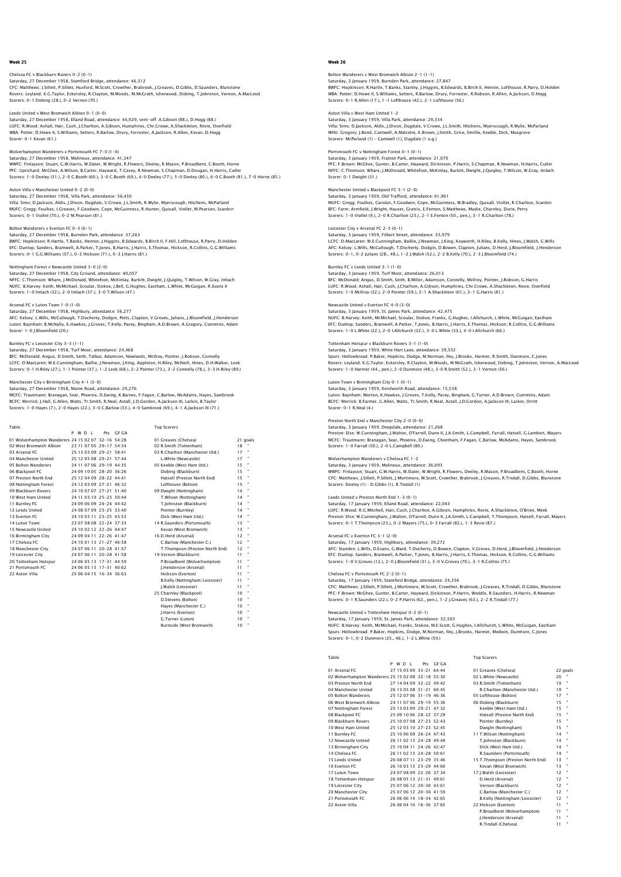### ek 25

# Chelsea FC v Blackburn Rovers 0-2 (0-1) Saturday, 27 December 1958, Stamford Bridge, attendance: 46,312<br>CFC: Matthews; J.Sillett, P.Sillett, Huxford, M.Scott, Crowther, Brabrook, J.Greaves, D.Gibbs, D.Saunders, Blunstone<br>Rovers: Leyland; K.G.Taylor, Eckersley, R Scorers: 0-1 Dobing (28.), 0-2 Vernon (70.)

Leeds United v West Bromwich Albion 0-1 (0-0) Saturday, 27 December 1958, Elland Road, attendance: 44,929, sent-off: A.Gibson (88.), D.Hogg (88.) LUFC: R.Wood; Ashall, Hair, Cush, J.Charlton, A.Gibson, Humphries, Chr.Crowe, A.Shackleton, Revie, Overfield WBA: Potter; D.Howe II, S.Williams, Setters, R.Barlow, Drury, Forrester, A.Jackson, R.Allen, Kevan, D.Hogg Scorer: 0-1 Kevan (61.)

Wolverhampton Wanderers v Portsmouth FC 7–0 (1–0)<br>Saturday, 27 December 1958, Molineux, attendance: 41,347<br>WWFC: Finlayson; Stuart, G.W.Harris, W.Slater, W.Wright, R.Flowers, Deeley, R.Mason, P.Broadbent, C.Booth, Horne PFC: Uprichard; McGhee, A.Wilson, B.Carter, Hayward, T.Casey, R.Newman, S.Chapman, D.Dougan, H.Harris, Cutler Scorers: 1-0 Deeley (31.), 2-0 C.Booth (60.), 3-0 C.Booth (69.), 4-0 Deeley (77.), 5-0 Deeley (80.), 6-0 C.Booth (81.), 7-0 Horne (85.)

# Aston Villa v Manchester United 0-2 (0-0)

Saturday, 27 December 1958, Villa Park, attendance: 56,450 Villa: Sims; D.Jackson, Aldis, J.Dixon, Dugdale, V.Crowe, J.L.Smith, R.Wylie, Myerscough, Hitchens, McParland MUFC: Gregg; Foulkes, I.Greaves, F.Goodwin, Cope, McGuinness, R.Hunter, Quixall, Viollet, M.Pearson, Scanlon Scorers: 0-1 Viollet (70.), 0-2 M.Pearson (81.)

### Bolton Wanderers v Everton FC 0-3 (0-1)

Saturday, 27 December 1958, Burnden Park, attendance: 37,263 BWFC: Hopkinson; R.Hartle, T.Banks, Hennin, J.Higgins, B.Edwards, B.Birch II, F.Hill, Lofthouse, R.Parry, D.Holden<br>EFC: Dunlop; Sanders, Bramwell, A.Parker, T.Jones, B.Harris, J.Harris, E.Thomas, Hickson, R.Collins, G.G.Wi

### Nottingham Forest v Newcastle United 3-0 (2-0)

Saturday, 27 December 1958, City Ground, attendance: 40,057 NFFC: C.Thomson; Whare, J.McDonald, Whitefoot, McKinlay, Burkitt, Dwight, J.Quigley, T.Wilson, W.Gray, Imlach NUFC: B.Harvey; Keith, McMichael, Scoular, Stokoe, J.Bell, G.Hughes, Eastham, L.White, McGuigan, R.Evans II Scorers: 1-0 Imlach (32.), 2-0 Imlach (37.), 3-0 T.Wilson (47.)

### Arsenal FC v Luton Town 1-0 (1-0)

Saturday, 27 December 1958, Highbury, attendance: S6,277<br>AFC: Kelsey; L.Wills, McCullough, T.Docherty, Dodgin, Petts, Clapton, V.Groves, Julians, J.Bloomfield, J.Henderson<br>Luton: Baynham, B.McNally, K.Hawkes, J.Groves, T.K

### Burnley FC v Leicester City 3-3 (1-1)

Saturday, 27 December 1958, Turf Moor, attendance: 24,468 BFC: McDonald; Angus, D.Smith, Seith, Talbut, Adamson, Newlands, McIlroy, Pointer, J.Robson, Connelly<br>LCFC: D.MacLaren; W.E.Cunningham, Baillie, J.Newman, J.King, Appleton, H.Riley, McNeill, Hines, D.H.Walker, Leek<br>Scorers

# Manchester City v Birmingham City 4-1 (3-0)

Saturday, 27 December 1958, Maine Road, attendance: 29,276<br>MCFC: Trautmann; Branagan, Sear, Phoenix, D.Ewing, K.Barnes, F.Fagan, C.Barlow, McAdams, Hayes, Sambrook<br>BCFC: Merrick: J.Hall, G.Allen, Watts, Tr.Smith, R.Neal, A

| Table                                              |         |                         |           | <b>Top Scorers</b>              |          |  |
|----------------------------------------------------|---------|-------------------------|-----------|---------------------------------|----------|--|
|                                                    | P W D I |                         | Pts GE GA |                                 |          |  |
| 01 Wolverhampton Wanderers 24 15 02 07 32-16 54:28 |         |                         |           | 01 Greaves (Chelsea)            | 21 goals |  |
| 02 West Bromwich Albion                            |         | 23 11 07 05 29-17 54:34 |           | 02 R.Smith (Tottenham)          | 18       |  |
| 03 Arsenal FC                                      |         | 25 13 03 09 29-21 58:41 |           | 03 R.Charlton (Manchester Utd.) | 17       |  |
| 04 Manchester United                               |         | 25 12 05 08 29-21 57:44 |           | L.White (Newcastle)             | 17       |  |
| 05 Bolton Wanderers                                |         | 24 11 07 06 29-19 44:35 |           | 05 Keeble (West Ham Utd.)       | 15       |  |
| 06 Blackpool FC                                    |         | 24 09 10 05 28-20 36:26 |           | Dobing (Blackburn)              | 15       |  |
| 07 Preston North End                               |         | 25 12 04 09 28-22 44:41 |           | Hatsell (Preston North End)     | 15       |  |
| 08 Nottingham Forest                               |         | 24 12 03 09 27-21 46:32 |           | Lofthouse (Bolton)              | 15       |  |
| 09 Blackburn Rovers                                |         | 24 10 07 07 27-21 51:40 |           | 09 Dwight (Nottingham)          | 14       |  |
| 10 West Ham United                                 |         | 24 11 03 10 25-23 50:44 |           | T.Wilson (Nottingham)           | 14       |  |
| 11 Burnley FC                                      |         | 24 09 06 09 24-24 44:42 |           | T.Johnston (Blackburn)          | 14       |  |
| 12 Leeds United                                    |         | 24 08 07 09 23-25 33:40 |           | Pointer (Burnley)               | 14       |  |
| 13 Everton EC                                      |         | 24 10 03 11 23-25 43:53 |           | Dick (West Ham Utd.)            | 14       |  |
| 14 Luton Town                                      |         | 23 07 08 08 22-24 37:33 |           | 14 R.Saunders (Portsmouth)      | 13       |  |
| 15 Newcastle United                                |         | 24 10 02 12 22-26 44:47 |           | Kevan (West Bromwich)           | 13       |  |
| 16 Birmingham City                                 |         | 24 09 04 11 22-26 41:47 |           | 16 D.Herd (Arsenal)             | 12       |  |
| 17 Chelsea EC                                      |         | 24 10 01 13 21-27 46:58 |           | C.Barlow (Manchester C.)        | 12       |  |
| 18 Manchester City                                 |         | 24 07 06 11 20-28 41:57 |           | T.Thompson (Preston North End)  | 12       |  |
| 19 Leicester City                                  |         | 24 07 06 11 20-28 41:58 |           | 19 Vernon (Blackburn)           | 11       |  |
| 20 Tottenham Hotspur                               |         | 24 06 05 13 17-31 44:59 |           | P.Broadbent (Wolverhampton)     | 11       |  |
| 21 Portsmouth FC                                   |         | 24 06 05 13 17-31 40:62 |           | I.Henderson (Arsenal)           | 11       |  |
| 22 Aston Villa                                     |         | 25.06.04.15 16-34 36:63 |           | Hickson (Everton)               | 11       |  |
|                                                    |         |                         |           | B.Kelly (Nottingham/Leicester)  | 11       |  |
|                                                    |         |                         |           | I.Walsh (Leicester)             | 11       |  |
|                                                    |         |                         |           | 25 Charnley (Blackpool)         | 10       |  |
|                                                    |         |                         |           | D.Stevens (Bolton)              | 10       |  |
|                                                    |         |                         |           | Haves (Manchester C.)           | 10       |  |
|                                                    |         |                         |           |                                 |          |  |

J.Harris (Everton) 10<br>
G.Turner (Luton) 10 "<br>
Burnside (West Bromwich) 10 " G.Turner (Luton) 10 "

Burnside (West Bromwich) 10 "

# Week 26

# Bolton Wanderers v West Bromwich Albion 2-1 (1-1) Saturday, 3 January 1959, Burnden Park, attendance: 27,847<br>BWFC: Hopkinson: R.Hartle, T.Banks, Stanley, J.Higgins, B.Edwards, B.Birch II, Hennin, Lofthouse, R.Parry, D.Holder<br>WBA: Potter: D.Howe II, S.Williams, Setters, R. Scorers: 0-1 R.Allen (17.), 1-1 Lofthouse (42.), 2-1 Lofthouse (56.)

Aston Villa v West Ham United 1-2

Saturday, 3 January 1959, Villa Park, attendance: 29,334 Villa: Sims; D.Jackson, Aldis, J.Dixon, Dugdale, V.Crowe, J.L.Smith, Hitchens, Myerscough, R.Wylie, McParland WHU: Gregory; J.Bond, Cantwell, A.Malcolm, K.Brown, J.Smith, Grice, Smillie, Keeble, Dick, Musgrove Scorers: McParland (1) – Cantwell (1), Dugdale (1 o.g.)

# Portsmouth FC v Nottingham Forest 0-1 (0-1)

Saturday, 3 January 1959, Fratton Park, attendance: 21,070 PFC: F.Brown; McGhee, Gunter, B.Carter, Hayward, Dickinson, P.Harris, S.Chapman, R.Newman, H.Harris, Cutler NFFC: C.Thomson; Whare, J.McDonald, Whitefoot, McKinlay, Burkitt, Dwight, J.Quigley, T.Wilson, W.Gray, Imlach Scorer: 0-1 Dwight (31.)

### Manchester United v Blackpool FC 3-1 (2-0) Saturday, 3 January 1959, Old Trafford, attendance: 61,961 MUFC: Gregg; Foulkes, Carolan, F.Goodwin, Cope, McGuinness, W.Bradley, Quixall, Viollet, R.Charlton, Scanlon BFC: Farm; Armfield, J.Wright, Hauser, Gratrix, E.Fenton, S.Matthews, Mudie, Charnley, Durie, Perry Scorers: 1-0 Viollet (9.), 2-0 R.Charlton (23.), 2-1 E.Fenton (50., pen.), 3-1 R.Charlton (78.)

Leicester City v Arsenal FC 2-3 (0-1) Saturday, 3 January 1959, Filbert Street, attendance: 33,979

# LCFC: D.MacLaren; W.E.Cunningham, Baillie, J.Newman, J.King, Keyworth, H.Riley, B.Kelly, Hines, J.Walsh, G.Wills<br>AFC: Kelsey; L.Wills, MCCullough, T.Docherty, Dodgin, D.Bowen, Clapton, Julians, D.Herd, J.Bloomfield, J.Hend

Burnley FC v Leeds United 3-1 (1-0) Saturday, 3 January 1959, Turf Moor, attendance: 26,013<br>BFC: McDonald; Angus, D.Smith, Seith, B.Miller, Adamson, Connelly, McIlroy, Pointer, J.Robson, G.Harris<br>LUFC: R.Wood; Ashall, Hair, Cush, J.Charlton, A.Gibson, Humphr

### Newcastle United v Everton FC 4-0 (3-0)

Saturday, 3 January 1959, St. James Park, attendance: 42,475 NUFC: B.Harvey; Keith, McMichael, Scoular, Stokoe, Franks, G.Hughes, I.Allchurch, L.White, McGuigan, Eastham EFC: Dunlop; Sanders, Bramwell, A.Parker, T.Jones, B.Harris, J.Harris, E.Thomas, Hickson, R.Collins, G.G.Williams Scorers: 1-0 L.White (22.), 2-0 I.Allchurch (32.), 3-0 L.White (33.), 4-0 I.Allchurch (66.)

### Tottenham Hotspur v Blackburn Rovers 3-1 (1-0) Saturday, 3 January 1959, White Hart Lane, attendance: 39,552

Spurs: Hollowbread; P.Baker, Hopkins, Dodge, M.Norman, Iley, J.Brooks, Harmer, R.Smith, Dunmore, C.Jones<br>Rovers: Leyland; K.G.Taylor, Eckersley, R.Clayton, M.Woods, M.McCrath, Isherwood, Dobing, T.Johnston, Vernon, A.MacLe

# Luton Town v Birmingham City 0-1 (0-1)

Saturday, 3 January 1959, Kenilworth Road, attendance: 15,538<br>Luton: Baynham; Morton, K.Hawkes, J.Groves, T.Kelly, Pacey, Bingham, G.Turner, A.D.Brown, Cummins, Adam<br>BCFC: Merrick; B.Farmer, G.Allen, Watts, Tr.Smith, R.Nea Scorer: 0-1 R.Neal (4.)

Preston North End v Manchester City 2–0 (0–0)<br>Saturday, 3 January 1959, Deepdale, attendance: 21,268<br>Preston: Else; W.Cunningham, J.Walton, O'Farrell, Dunn II, J.A.Smith, L.Campbell, Farrall, Hatsell, G.Lambert, Mayers<br>MCF Scorers: 1-0 Farrall (50.), 2-0 L.Campbell (80.)

## npton Wanderers v Chelsea FC 1-2

Saturday, 3 January 1959, Molineux, attendance: 36,093<br>WWFC: Finlayson; Stuart, G.W.Harris, W.Slater, W.Wright, R.Flowers, Deeley, R.Mason, P.Broadbent, C.Booth, Horne<br>CFC: Matthews: J.Sillett, P.Sillett, J.Mortimore, M.Sc Scorers: Deeley (1) – D.Gibbs (1), R.Tindall (1)

## Leeds United v Preston North End 1-3 (0-1)

Saturday, 17 January 1959, Elland Road, attendance: 22,043 LUFC: R.Wood; R.G.Mitchell, Hair, Cush, J.Charlton, A.Gibson, Humphries, Revie, A.Shackleton, O'Brien, Meek Preston: Else; W.Cunningham, J.Walton, O'Farrell, Dunn II, J.A.Smith, L.Campbell, T.Thompson, Hatsell, Farrall, Mayers<br>Scorers: 0–1 T.Thompson (23.), 0–2 Mayers (75.), 0–3 Farrall (82.), 1–3 Revie (87.)

# Arsenal FC v Everton FC 3-1 (2-0)

Saturday, 17 January 1959, Highbury, attendance: 39,272 AFC: Standen; L.Wills, D.Evans, G.Ward, T.Docherty, D.Bowen, Clapton, V.Groves, D.Herd, J.Bloomfield, J.Hendersor<br>EFC: Dunlop; Sanders, Bramwell, A.Parker, T.Jones, B.Harris, J.Harris, E.Thomas, Hickson, R.Collins, G.G.Wil

### Chelsea FC v Portsmouth FC 2-2 (0-1)

Saturday, 17 January 1959, Stamford Bridge, attendance: 24,356<br>CFC: Matthews; J.Sillett, P.Sillett, J.Mortimore, M.Scott, Crowther, Brabrook, J.Greaves, R.Tindall, D.Gibbs, Blunstone<br>PFC: F.Brown; McGhee, Gunter, B.Carter,

# Newcastle United v Tottenham Hotspur 0-2 (0-1)

Saturday, 17 January 1959, St. James Park, attendance: 32,503<br>NUFC: B.Harvey; Keith, McMichael, Franks, Stokoe, M.E.Scott, G.Hughes, I.Allchurch, L.White, McGuigan, Eastham<br>Spurs: Hollowbread; P.Baker, Hopkins, Dodge, M.No

| Table                                              |         |                           |           | <b>Top Scorers</b>                |    |          |
|----------------------------------------------------|---------|---------------------------|-----------|-----------------------------------|----|----------|
|                                                    | P W D I |                           | Pts GE GA |                                   |    |          |
| 01 Arsenal FC                                      |         | 27 15 03 09 33-21 64:44   |           | 01 Greaves (Chelsea)              |    | 22 goals |
| 02 Wolverhampton Wanderers 25 15 02 08 32-18 55:30 |         |                           |           | 02 L.White (Newcastle)            | 20 |          |
| 03 Preston North End                               |         | 27 14 04 09 32-22 49:42   |           | 03 R.Smith (Tottenham)            | 19 | ٠        |
| 04 Manchester United                               |         | 26 13 05 08 31 - 21 60:45 |           | R.Charlton (Manchester Utd.)      | 19 |          |
| 05 Bolton Wanderers                                |         | 25 12 07 06 31-19 46:36   |           | 05 Lofthouse (Bolton)             | 17 | ٠        |
| 06 West Bromwich Albion                            |         | 24 11 07 06 29-19 55:36   |           | 06 Dobing (Blackburn)             | 15 |          |
| 07 Nottingham Forest                               |         | 25 13 03 09 29-21 47:32   |           | Keeble (West Ham Utd.)            | 15 | ٠        |
| 08 Blackpool FC                                    |         | 25.09.10.06.28-22.37:29   |           | Hatsell (Preston North End)       | 15 |          |
| 09 Blackburn Rovers                                |         | 25 10 07 08 27-23 52:43   |           | Pointer (Burnley)                 | 15 |          |
| 10 West Ham United                                 |         | 25 12 03 10 27-23 52:45   |           | Dwight (Nottingham)               | 15 |          |
| 11 Burnley FC                                      |         | 25 10 06 09 26-24 47:43   |           | 11 T.Wilson (Nottingham)          | 14 |          |
| 12 Newcastle United                                |         | 26 11 02 13 24-28 49:49   |           | T.Johnston (Blackburn)            | 14 |          |
| 13 Birmingham City                                 |         | 25 10 04 11 24-26 42:47   |           | Dick (West Ham Utd.)              | 14 |          |
| 14 Chelsea EC                                      |         | 26 11 02 13 24-28 50:61   |           | R.Saunders (Portsmouth)           | 14 |          |
| 15 Leeds United                                    |         | 26 08 07 11 23-29 35:46   |           | 15 T.Thompson (Preston North End) | 13 |          |
| 16 Everton EC                                      |         | 26 10 03 13 23-29 44:60   |           | Kevan (West Bromwich)             | 13 | ٠        |
| 17 Luton Town                                      |         | 24 07 08 09 22-26 37:34   |           | 17 J.Walsh (Leicester)            | 12 |          |
| 18 Tottenham Hotspur                               |         | 26.08.05.13.21-31.49:61   |           | D.Herd (Arsenal)                  | 12 | ٠        |
| 19 Leicester City                                  |         | 25 07 06 12 20-30 43:61   |           | Vernon (Blackburn)                | 12 |          |
| 20 Manchester City                                 |         | 25 07 06 12 20-30 41:59   |           | C.Barlow (Manchester C.)          | 12 | ٠        |
| 21 Portsmouth EC                                   |         | 26.06.06.14 18-34 42:65   |           | B.Kelly (Nottingham/Leicester)    | 12 |          |
| 22 Aston Villa                                     |         | 26 06 04 16 16-36 37:65   |           | 22 Hickson (Everton)              | 11 |          |
|                                                    |         |                           |           | P.Broadbent (Wolverhampton)       | 11 |          |

**J.Henderson (Arsenal)** 11<br>R.Tindall (Chelsea) 11 R.Tindall (Chelsea) 11 "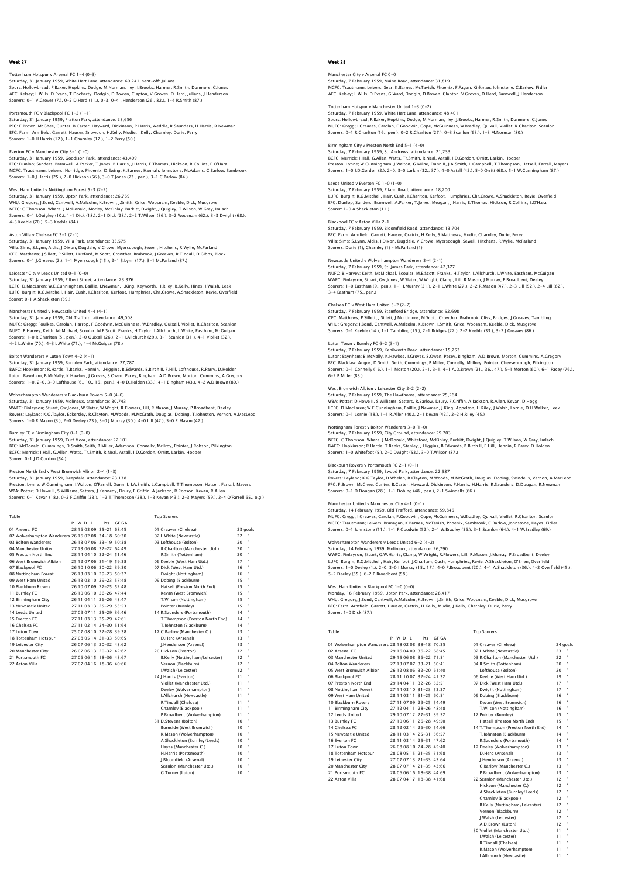### Tottenham Hotspur v Arsenal FC 1-4 (0-3)

Saturday, 31 January 1959, White Hart Lane, attendance: 60,241, sent–off: Julians<br>Spurs: Hollowbread: P.Baker, Hopkins, Dodge, M.Norman, Iley, J.Brooks, Harmer, R.Smith, Dunmore, C.Jones<br>AFC: Kelsey: L.Wills, D.Evans, T.Do Scorers: 0-1 V.Groves (7.), 0-2 D.Herd (11.), 0-3, 0-4 J.Henderson (26., 82.), 1-4 R.Smith (87.)

Portsmouth FC v Blackpool FC 1-2 (1-1) Saturday, 31 January 1959, Fratton Park, attendance: 23,656 PFC: F.Brown; McGhee, Gunter, B.Carter, Hayward, Dickinson, P.Harris, Weddle, R.Saunders, H.Harris, R.Newman BFC: Farm; Armfield, Garrett, Hauser, Snowdon, H.Kelly, Mudie, J.Kelly, Charnley, Durie, Perry Scorers: 1-0 H.Harris (12.), 1-1 Charnley (17.), 1-2 Perry (50.)

Everton FC v Manchester City 3-1 (1-0) Everton FC v manchester City J-1<br>Saturday, 31 January 1959, Goodis EFC: Dunlop; Sanders, Bramwell, A.Parker, T.Jones, B.Harris, J.Harris, E.Thomas, Hickson, R.Collins, E.O'Hara MCFC: Trautmann; Leivers, Horridge, Phoenix, D.Ewing, K.Barnes, Hannah, Johnstone, McAdams, C.Barlow, Sambrook Scorers: 1-0 J.Harris (25.), 2-0 Hickson (56.), 3-0 T.Jones (73., pen.), 3-1 C.Barlow (84.)

# West Ham United v Nottingham Forest 5-3 (2-2)

Saturday, 31 January 1959, Upton Park, attendance: 26,769 WHU: Gregory; J.Bond, Cantwell, A.Malcolm, K.Brown, J.Smith, Grice, Woosnam, Keeble, Dick, Musgrove NFFC: C.Thomson; Whare, J.McDonald, Morley, McKinlay, Burkitt, Dwight, J.Quigley, T.Wilson, W.Gray, Imlach<br>Scorers: 0–1 J.Quigley (10.), 1–1 Dick (18.), 2–1 Dick (28.), 2–2 T.Wilson (36.), 3–2 Woosnam (62.), 3–3 Dwight (68

# Aston Villa v Chelsea FC 3-1 (2-1)

Saturday, 31 January 1959, Villa Park, attendance: 33,575<br>Villa: Sims; S.Lynn, Aldis, J.Dixon, Dugdale, V.Crowe, Myerscough, Sewell, Hitchens, R.Wylie, McParland<br>CFC: Matthews; J.Sillett, P.Sillett, Huxford, M.Scott, Crowt

## Leicester City v Leeds United 0-1 (0-0)

Saturday, 31 January 1959, Filbert Street, attendance: 23,376 LCFC: D.MacLaren; W.E.Cunningham, Baillie, J.Newman, J.King, Keyworth, H.Riley, B.Kelly, Hines, J.Walsh, Leek LUFC: Burgin; R.G.Mitchell, Hair, Cush, J.Charlton, Kerfoot, Humphries, Chr.Crowe, A.Shackleton, Revie, Overfield Scorer: 0-1 A.Shackleton (59.)

# Manchester United v Newcastle United 4-4 (4-1)

Saturday, 31 January 1959, Old Trafford, attendance: 49,008<br>MUFC: Gregg; Foulkes, Carolan, Harrop, F.Goodwin, McGuinness, W.Bradley, Quixall, Viollet, R.Charlton, Scanlon<br>NUFC: B.Harvey; Keith, McMichael, Scoular, M.E.Scot 4-2 L.White (70.), 4-3 L.White (71.), 4-4 McGuigan (78.)

Bolton Wanderers v Luton Town 4–2 (4–1)<br>Saturday, 31 January 1959, Burnden Park, attendance: 27,787<br>BWFC: Hopkinson; R.Hartle, T.Banks, Hennin, J.Higgins, B.Edwards, B.Birch II, F.Hill, Lofthouse, R.Parry, D.Holden Luton: Baynham; B.McNally, K.Hawkes, J.Groves, S.Owen, Pacey, Bingham, A.D.Brown, Morton, Cummins, A.Gregory Scorers: 1-0, 2-0, 3-0 Lofthouse (6., 10., 16., pen.), 4-0 D.Holden (33.), 4-1 Bingham (43.), 4-2 A.D.Brown (80.)

# ers v Blackburn Rovers 5-0 (4)

Saturday, 31 January 1959, Molineux, attendance: 30,743 WWFC: Finlayson; Stuart, Gw.Jones, W.Slater, W.Wright, R.Flowers, Lill, R.Mason, J.Murray, P.Broadbent, Deeley Rovers: Leyland; K.G.Taylor, Eckersley, R.Clayton, M.Woods, M.McGrath, Douglas, Dobing, T.Johnston, Vernon, A.MacLeod Scorers: 1-0 R.Mason (3.), 2-0 Deeley (23.), 3-0 J.Murray (30.), 4-0 Lill (42.), 5-0 R.Mason (47.)

### Burnley FC v Birmingham City 0-1 (0-0)

Saturday, 31 January 1959, Turf Moor, attendance: 22,101

BFC: McDonald; Cummings, D.Smith, Seith, B.Miller, Adamson, Connelly, McIlroy, Pointer, J.Robson, Pilkington BCFC: Merrick; J.Hall, G.Allen, Watts, Tr.Smith, R.Neal, Astall, J.D.Gordon, Orritt, Larkin, Hooper Scorer: 0-1 J.D.Gordon (54.)

# Preston North End v West Bromwich Albion 2-4 (1-3)

### Saturday, 31 January 1959, Deepdale, attendance: 23,138

Preston: Lynne; W.Cunningham, J.Walton, O'Farrell, Dunn II, J.A.Smith, L.Campbell, T.Thompson, Hatsell, Farrall, Mayers<br>WBA: Potter; D.Howe II, S.Williams, Setters, J.Kennedy, Drury, F.Griffin, A.Jackson, R.Robson, Kevan,

| Table                                              |                         |           | <b>Top Scorers</b>             |    |         |
|----------------------------------------------------|-------------------------|-----------|--------------------------------|----|---------|
|                                                    | P W D I                 | Pts GF GA |                                |    |         |
| 01 Arsenal FC                                      | 28 16 03 09 35-21 68:45 |           | 01 Greaves (Chelsea)           |    | 23 goal |
| 02 Wolverhampton Wanderers 26 16 02 08 34-18 60:30 |                         |           | 02 L.White (Newcastle)         | 22 |         |
| 03 Bolton Wanderers                                | 26 13 07 06 33-19 50:38 |           | 03 Lofthouse (Bolton)          | 20 |         |
| 04 Manchester United                               | 27 13 06 08 32-22 64:49 |           | R.Charlton (Manchester Utd.)   | 20 |         |
| 05 Preston North End                               | 28 14 04 10 32-24 51:46 |           | R.Smith (Tottenham)            | 20 |         |
| 06 West Bromwich Albion                            | 25 12 07 06 31-19 59:38 |           | 06 Keeble (West Ham Utd.)      | 17 |         |
| 07 Blackpool FC                                    | 26 10 10 06 30-22 39:30 |           | 07 Dick (West Ham Utd.)        | 16 |         |
| 08 Nottingham Forest                               | 26 13 03 10 29-23 50:37 |           | Dwight (Nottingham)            | 16 |         |
| 09 West Ham United                                 | 26 13 03 10 29-23 57:48 |           | 09 Dobing (Blackburn)          | 15 |         |
| 10 Blackburn Rovers                                | 26 10 07 09 27-25 52:48 |           | Hatsell (Preston North End)    | 15 |         |
| 11 Burnley FC                                      | 26 10 06 10 26-26 47:44 |           | Kevan (West Bromwich)          | 15 |         |
| 12 Birmingham City                                 | 26 11 04 11 26-26 43:47 |           | T.Wilson (Nottingham)          | 15 |         |
| 13 Newcastle United                                | 27 11 03 13 25-29 53:53 |           | Pointer (Burnley)              | 15 |         |
| 14 Leeds United                                    | 27 09 07 11 25-29 36:46 |           | 14 R.Saunders (Portsmouth)     | 14 |         |
| 15 Everton EC                                      | 27 11 03 13 25-29 47:61 |           | T.Thompson (Preston North End) | 14 |         |
| 16 Chelsea EC                                      | 27 11 02 14 24-30 51:64 |           | T.Iohnston (Blackburn)         | 14 |         |
| 17 Luton Town                                      | 25 07 08 10 22-28 39:38 |           | 17 C.Barlow (Manchester C.)    | 13 |         |
| 18 Tottenham Hotspur                               | 27.08.05.14.21-33.50:65 |           | D.Herd (Arsenal)               | 13 |         |
| 19 Leicester City                                  | 26.07.06.13.20-32.43:62 |           | I.Henderson (Arsenal)          | 13 |         |
| 20 Manchester City                                 | 26.07.06.13.20-32.42:62 |           | 20 Hickson (Everton)           | 12 |         |
| 21 Portsmouth FC                                   | 27 06 06 15 18-36 43:67 |           | B.Kelly (Nottingham/Leicester) | 12 |         |
| 22 Aston Villa                                     | 27 07 04 16 18-36 40:66 |           | Vernon (Blackburn)             | 12 |         |
|                                                    |                         |           | J.Walsh (Leicester)            | 12 |         |
|                                                    |                         |           | 24 I.Harris (Everton)          | 11 |         |
|                                                    |                         |           | Viollet (Manchester Utd.)      | 11 |         |
|                                                    |                         |           | Deeley (Wolverhampton)         | 11 |         |
|                                                    |                         |           | I.Allchurch (Newcastle)        | 11 |         |
|                                                    |                         |           | R.Tindall (Chelsea)            | 11 |         |
|                                                    |                         |           | Charnley (Blackpool)           | 11 |         |
|                                                    |                         |           | P.Broadbent (Wolverhampton)    | 11 |         |

 P.Broadbent (Wolverhampton) 11 " 31 D.Stevens (Bolton) 10<br>
Burnside (West Bromwich) 10<br>
R.Mason (Wolverhampton) 10 Burnside (West Bromwich) 10 " R.Mason (Wolverhampton) 10 " A.Shackleton (Burnley/Leeds) 10<br>Haves (Manchester C.) 10 Hayes (Manchester C.) 10<br>H Harris (Portsmouth) 10 H.Harris (Portsmouth) 10 " J.Bloomfield (Arsenal) 10 " Scanlon (Manchester Utd.) 10 "

# G.Turner (Luton) 10

Week 28

# Manchester City v Arsenal FC 0-0 Saturday, 7 February 1959, Maine Road, attendance: 31,819<br>MCFC: Trautmann; Leivers, Sear, K.Barnes, McTavish, Phoenix, F.Fagan, Kirkman, Johnstone, C.Barlow, Fidleı<br>AFC: Kelsey: L.Wills, D.Evans, G.Ward, Dodqin, D.Bowen, C

Tottenham Hotspur v Manchester United 1-3 (0-2) Saturday, 7 February 1959, White Hart Lane, attendance: 48,401<br>Spurs: Hollowbread; P.Baker, Hopkins, Dodge, M.Norman, Iley, J.Brooks, Harmer, R.Smith, Dunmore, C.Jones<br>MUFC: Gregg: I.Greaves, Carolan, F.Goodwin, Cope, McGu Scorers: 0-1 R.Charlton (16., pen.), 0-2 R.Charlton (27.), 0-3 Scanlon (63.), 1-3 M.Norman (80.)

Birmingham City v Preston North End 5-1 (4-0) Saturday, 7 February 1959, St. Andrews, attendance: 21,233 BCFC: Merrick; J.Hall, G.Allen, Watts, Tr.Smith, R.Neal, Astall, J.D.Gordon, Orritt, Larkin, Hooper Preston: Lynne; W.Cunningham, J.Walton, G.Milne, Dunn II, J.A.Smith, L.Campbell, T.Thompson, Hatsell, Farrall, Mayers Scorers: 1-0 J.D.Gordon (2.), 2-0, 3-0 Larkin (32., 37.), 4-0 Astall (42.), 5-0 Orritt (68.), 5-1 W.Cunningham (87.)

### Leeds United v Everton FC 1-0 (1-0) Saturday, 7 February 1959, Elland Road, attendance: 18,200 LUFC: Burgin; R.G.Mitchell, Hair, Cush, J.Charlton, Kerfoot, Humphries, Chr.Crowe, A.Shackleton, Revie, Overfield EFC: Dunlop; Sanders, Bramwell, A.Parker, T.Jones, Meagan, J.Harris, E.Thomas, Hickson, R.Collins, E.O'Hara Scorer: 1-0 A.Shackleton (11.)

Blackpool FC v Aston Villa 2-1 Saturday, 7 February 1959, Bloomfield Road, attendance: 13,704 BFC: Farm; Armfield, Garrett, Hauser, Gratrix, H.Kelly, S.Matthews, Mudie, Charnley, Durie, Perry Villa: Sims; S.Lynn, Aldis, J.Dixon, Dugdale, V.Crowe, Myerscough, Sewell, Hitchens, R.Wylie, McParland Scorers: Durie (1), Charnley (1) – McParland (1)

## Newcastle United v Wolverhampton Wanderers 3-4 (2-1)

Saturday, 7 February 1959, St. James Park, attendance: 42,377 NUFC: B.Harvey; Keith, McMichael, Scoular, M.E.Scott, Franks, H.Taylor, I.Allchurch, L.White, Eastham, McGuigan WWFC: Finlayson; Stuart, Gw.Jones, W.Slater, W.Wright, Clamp, Lill, R.Mason, J.Murray, P.Broadbent, Deeley<br>Scorers: 1–0 Eastham (9., pen.), 1–1 J.Murray (21.), 2–1 L.White (27.), 2–2 R.Mason (47.), 2–3 Lill (52.), 2–4 Lill 3-4 Eastham (75., pen.)

### Chelsea FC v West Ham United 3-2 (2-2)

Saturday, 7 February 1959, Stamford Bridge, attendance: 52,698 CFC: Matthews; P.Sillett, J.Sillett, J.Mortimore, M.Scott, Crowther, Brabrook, Cliss, Bridges, J.Greaves, Tambling WHU: Gregory; J.Bond, Cantwell, A.Malcolm, K.Brown, J.Smith, Grice, Woosnam, Keeble, Dick, Musgrove Scorers: 0-1 Keeble (14.), 1-1 Tambling (15.), 2-1 Bridges (22.), 2-2 Keeble (33.), 3-2 J.Greaves (86.)

### Luton Town v Burnley FC 6-2 (3-1)

Saturday, 7 February 1959, Kenilworth Road, attendance: 15,753 Luton: Baynham; B.McNally, K.Hawkes, J.Groves, S.Owen, Pacey, Bingham, A.D.Brown, Morton, Cummins, A.Gregory<br>BFC: Blacklaw; Angus, D.Smith, Seith, Cummings, B.Miller, Connelly, McIlory, Pointer, Cheesebrough, Pilkington<br>Sc 6-2 B.Miller (83.)

West Bromwich Albion v Leicester City 2–2 (2–2)<br>Saturday, 7 February 1959, The Hawthorns, attendance: 25,264<br>WBA: Potter; D.Howe II, S.Williams, Setters, R.Barlow, Drury, F.Griffin, A.Jackson, R.Allen, Kevan, D.Hogg LCFC: D.MacLaren; W.E.Cunningham, Baillie, J.Newman, J.King, Appelton, H.Riley, J.Walsh, Lornie, D.H.Walker, Leek Scorers: 0-1 Lornie (18.), 1-1 R.Allen (40.), 2-1 Kevan (42.), 2-2 H.Riley (45.)

# Nottingham Forest v Bolton Wanderers 3-0 (1-0)

Saturday, 7 February 1959, City Ground, attendance: 29,703 NFFC: C.Thomson; Whare, J.McDonald, Whitefoot, McKinlay, Burkitt, Dwight, J.Quigley, T.Wilson, W.Gray, Imlach BWFC: Hopkinson; R.Hartle, T.Banks, Stanley, J.Higgins, B.Edwards, B.Birch II, F.Hill, Hennin, R.Parry, D.Holden Scorers: 1-0 Whitefoot (5.), 2-0 Dwight (53.), 3-0 T.Wilson (87.)

# Blackburn Rovers v Portsmouth FC 2-1 (0-1)

Saturday, 7 February 1959, Ewood Park, attendance: 22,587 Rovers: Leyland; K.G.Taylor, D.Whelan, R.Clayton, M.Woods, M.McGrath, Douglas, Dobing, Swindells, Vernon, A.MacLeod PFC: F.Brown; McGhee, Gunter, B.Carter, Hayward, Dickinson, P.Harris, H.Harris, R.Saunders, D.Dougan, R.Newman Scorers: 0-1 D.Dougan (28.), 1-1 Dobing (48., pen.), 2-1 Swindells (66.)

## Manchester United v Manchester City 4-1 (0-1)

Saturday, 14 February 1959, Old Trafford, attendance: 59,846 MUFC: Gregg: I.Greaves, Carolan, F.Goodwin, Cope, McGuinness, W.Bradley, Quixall, Viollet, R.Charlton, Scanlon<br>MCFC: Trautmann; Leivers, Branagan, K.Barnes, McTavish, Phoenix, Sambrook, C.Barlow, Johnstone, Hayes, Fidler<br>S

## Wolverhampton Wanderers v Leeds United 6-2 (4-2)

Saturday, 14 February 1959, Molineux, attendance: 26,790<br>WWFC: Finlayson: Stuart, G.W.Harris, Clamp, W.Wright, R.Flowers, Lill, R.Mason, J.Murray, P.Broadbent, Deeley<br>LUFC: Burgin: R.G.Mitchell, Hair, Kerfoot, J.Charlton,

# West Ham United v Blackpool FC 1-0 (0-0)

Monday, 16 February 1959, Upton Park, attendance: 28,417<br>WHU: Gregory: J.Bond, Cantwell, A.Malcolm, K.Brown, J.Smith, Grice, Woosnam, Keeble, Dick, Musgrove<br>BFC: Farm: Armfield, Garrett, Hauser, Gratrix, H.Kelly, Mudie, J. Scorer: 1-0 Dick (87.)

|  | ï |  |
|--|---|--|
|  | I |  |

| Table                                              |      |                           |       | <b>Top Scorers</b>                |          |           |
|----------------------------------------------------|------|---------------------------|-------|-----------------------------------|----------|-----------|
|                                                    | PWDL | Pts                       | GE GA |                                   |          |           |
| 01 Wolverhampton Wanderers 28 18 02 08 38-18 70:35 |      |                           |       | 01 Greaves (Chelsea)              | 24 goals |           |
| 02 Arsenal FC                                      |      | 29 16 04 09 36-22 68:45   |       | 02 L.White (Newcastle)            | 23       |           |
| 03 Manchester United                               |      | 29 15 06 08 36-22 71:51   |       | 03 R.Charlton (Manchester Utd.)   | 22       | $\bullet$ |
| 04 Bolton Wanderers                                |      | 27 13 07 07 33-21 50:41   |       | 04 R.Smith (Tottenham)            | 20       |           |
| 05 West Bromwich Albion                            |      | 26 12 08 06 32-20 61:40   |       | Lofthouse (Bolton)                | 20       |           |
| 06 Blackpool FC                                    |      | 28 11 10 07 32-24 41:32   |       | 06 Keeble (West Ham Utd.)         | 19       |           |
| 07 Preston North End                               |      | 29 14 04 11 32-26 52:51   |       | 07 Dick (West Ham Utd.)           | 17       |           |
| 08 Nottingham Forest                               |      | 27 14 03 10 31-23 53:37   |       | Dwight (Nottingham)               | 17       | ٠         |
| 09 West Ham United                                 |      | 28 14 03 11 31 - 25 60:51 |       | 09 Dobing (Blackburn)             | 16       |           |
| 10 Blackburn Rovers                                |      | 27 11 07 09 29-25 54:49   |       | Kevan (West Bromwich)             | 16       |           |
| 11 Birmingham City                                 |      | 27 12 04 11 28-26 48:48   |       | T.Wilson (Nottingham)             | 16       |           |
| 12 Leeds United                                    |      | 29 10 07 12 27-31 39:52   |       | 12 Pointer (Burnley)              | 15       |           |
| 13 Burnley FC                                      |      | 27 10 06 11 26-28 49:50   |       | Hatsell (Preston North End)       | 15       |           |
| 14 Chelsea EC                                      |      | 28 12 02 14 26-30 54:66   |       | 14 T.Thompson (Preston North End) | 14       |           |
| 15 Newcastle United                                |      | 28 11 03 14 25-31 56:57   |       | T.Johnston (Blackburn)            | 14       | ٠         |
| 16 Everton EC                                      |      | 28 11 03 14 25-31 47:62   |       | R.Saunders (Portsmouth)           | 14       |           |
| 17 Luton Town                                      |      | 26 08 08 10 24-28 45:40   |       | 17 Deeley (Wolverhampton)         | 13       |           |
| 18 Tottenham Hotspur                               |      | 28 08 05 15 21 - 35 51:68 |       | D.Herd (Arsenal)                  | 13       |           |
| 19 Leicester City                                  |      | 27 07 07 13 21-33 45:64   |       | I.Henderson (Arsenal)             | 13       |           |
| 20 Manchester City                                 |      | 28 07 07 14 21-35 43:66   |       | C.Barlow (Manchester C.)          | 13       |           |
| 21 Portsmouth EC                                   |      | 28 06 06 16 18-38 44:69   |       | P.Broadbent (Wolverhampton)       | 13       |           |
| 22 Aston Villa                                     |      | 28 07 04 17 18-38 41:68   |       | 22 Scanlon (Manchester Utd.)      | 12       |           |
|                                                    |      |                           |       |                                   |          |           |

| 01 Greaves (Chelsea)              | 24 go     |   |
|-----------------------------------|-----------|---|
| 02 L.White (Newcastle)            | 23        |   |
| 03 R.Charlton (Manchester Utd.)   | 22        | I |
| 04 R.Smith (Tottenham)            | 20        | ł |
| Lofthouse (Bolton)                | 20        | ł |
| 06 Keeble (West Ham Utd.)         | 19        | ł |
| 07 Dick (West Ham Utd.)           | 17        | ł |
| Dwight (Nottingham)               | 17        | ł |
| 09 Dobing (Blackburn)             | 16        | ł |
| Kevan (West Bromwich)             | 16        | ł |
| T.Wilson (Nottingham)             | 16        | ł |
| 12 Pointer (Burnley)              | 15        | ł |
| Hatsell (Preston North End)       | 15        | ł |
| 14 T.Thompson (Preston North End) | 14        | ł |
| T.lohnston (Blackburn)            | 14        | ł |
| R.Saunders (Portsmouth)           | 14        | ł |
| 17 Deeley (Wolverhampton)         | 13        | ł |
| D.Herd (Arsenal)                  | 13        | ł |
| J.Henderson (Arsenal)             | 13        | ł |
| C.Barlow (Manchester C.)          | 13        | ł |
| P.Broadbent (Wolverhampton)       | 13        | ł |
| 22 Scanlon (Manchester Utd.)      | 12        | ł |
| Hickson (Manchester C.)           | $12^{12}$ | ł |
| A.Shackleton (Burnley/Leeds)      | $12^{12}$ | ł |
| Charnley (Blackpool)              | 12        | ł |
| B.Kelly (Nottingham/Leicester)    | 12        | ł |
| Vernon (Blackburn)                | 12        | ł |
| I.Walsh (Leicester)               | 12        | ł |
| A.D.Brown (Luton)                 | $12^{12}$ | ł |
| 30 Viollet (Manchester Utd.)      | 11        | ł |
| I.Walsh (Leicester)               | 11        | ł |
| R.Tindall (Chelsea)               | 11        | ì |
| R.Mason (Wolverhampton)           | 11        | ł |
| LAllchurch (Newcastle)            | 11        | ł |